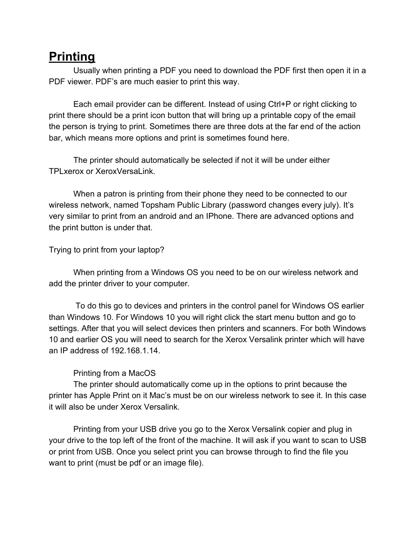## **Printing**

Usually when printing a PDF you need to download the PDF first then open it in a PDF viewer. PDF's are much easier to print this way.

Each email provider can be different. Instead of using Ctrl+P or right clicking to print there should be a print icon button that will bring up a printable copy of the email the person is trying to print. Sometimes there are three dots at the far end of the action bar, which means more options and print is sometimes found here.

The printer should automatically be selected if not it will be under either TPLxerox or XeroxVersaLink.

When a patron is printing from their phone they need to be connected to our wireless network, named Topsham Public Library (password changes every july). It's very similar to print from an android and an IPhone. There are advanced options and the print button is under that.

Trying to print from your laptop?

When printing from a Windows OS you need to be on our wireless network and add the printer driver to your computer.

 To do this go to devices and printers in the control panel for Windows OS earlier than Windows 10. For Windows 10 you will right click the start menu button and go to settings. After that you will select devices then printers and scanners. For both Windows 10 and earlier OS you will need to search for the Xerox Versalink printer which will have an IP address of 192.168.1.14.

## Printing from a MacOS

The printer should automatically come up in the options to print because the printer has Apple Print on it Mac's must be on our wireless network to see it. In this case it will also be under Xerox Versalink.

Printing from your USB drive you go to the Xerox Versalink copier and plug in your drive to the top left of the front of the machine. It will ask if you want to scan to USB or print from USB. Once you select print you can browse through to find the file you want to print (must be pdf or an image file).